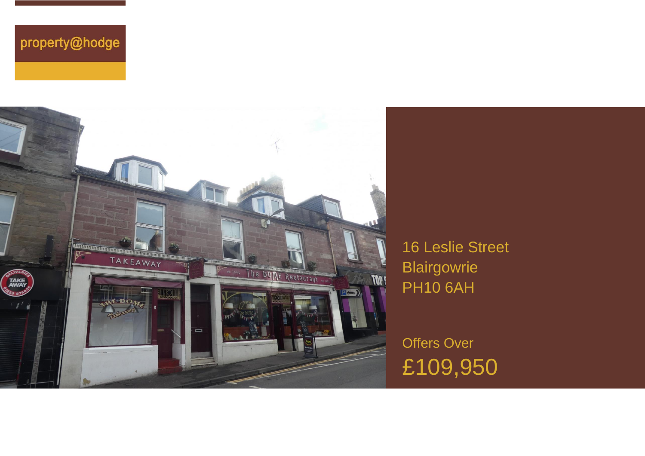



16 Leslie Street **Blairgowrie** PH10 6AH

Offers Over £109,950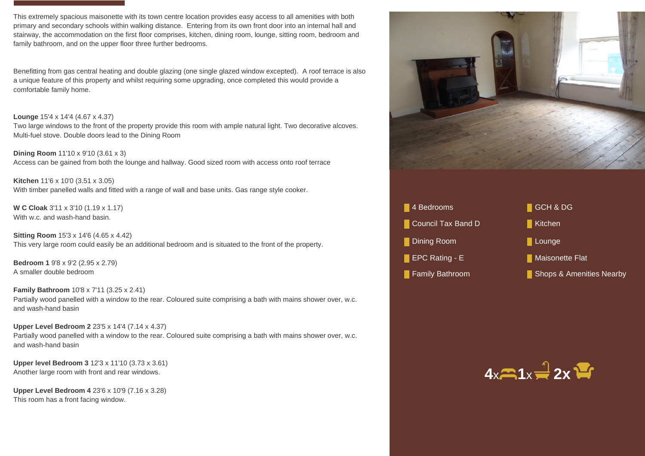This extremely spacious maisonette with its town centre location provides easy access to all amenities with both primary and secondary schools within walking distance. Entering from its own front door into an internal hall and stairway, the accommodation on the first floor comprises, kitchen, dining room, lounge, sitting room, bedroom and family bathroom, and on the upper floor three further bedrooms.

Benefitting from gas central heating and double glazing (one single glazed window excepted). A roof terrace is also a unique feature of this property and whilst requiring some upgrading, once completed this would provide a comfortable family home.

## **Lounge** 15'4 x 14'4 (4.67 x 4.37)

Two large windows to the front of the property provide this room with ample natural light. Two decorative alcoves. Multi-fuel stove. Double doors lead to the Dining Room

**Dining Room** 11'10 x 9'10 (3.61 x 3) Access can be gained from both the lounge and hallway. Good sized room with access onto roof terrace

**Kitchen** 11'6 x 10'0 (3.51 x 3.05) With timber panelled walls and fitted with a range of wall and base units. Gas range style cooker.

**W C Cloak** 3'11 x 3'10 (1.19 x 1.17) With w.c. and wash-hand basin.

**Sitting Room** 15'3 x 14'6 (4.65 x 4.42) This very large room could easily be an additional bedroom and is situated to the front of the property.

**Bedroom 1** 9'8 x 9'2 (2.95 x 2.79) A smaller double bedroom

**Family Bathroom** 10'8 x 7'11 (3.25 x 2.41) Partially wood panelled with a window to the rear. Coloured suite comprising a bath with mains shower over, w.c. and wash-hand basin

## **Upper Level Bedroom 2** 23'5 x 14'4 (7.14 x 4.37)

Partially wood panelled with a window to the rear. Coloured suite comprising a bath with mains shower over, w.c. and wash-hand basin

**Upper level Bedroom 3** 12'3 x 11'10 (3.73 x 3.61) Another large room with front and rear windows.

**Upper Level Bedroom 4** 23'6 x 10'9 (7.16 x 3.28) This room has a front facing window.





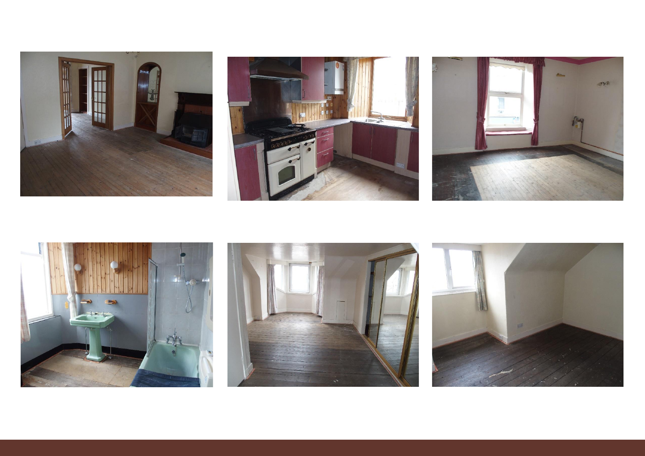